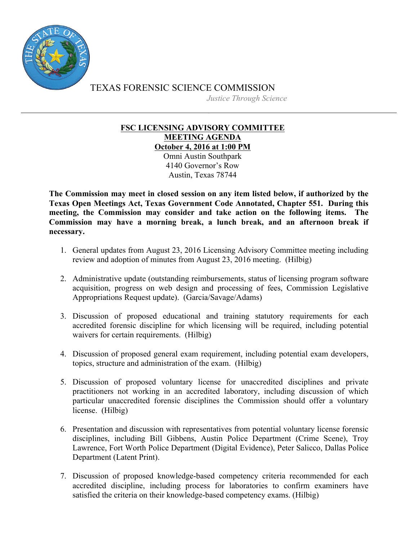

TEXAS FORENSIC SCIENCE COMMISSION *Justice Through Science*

## **FSC LICENSING ADVISORY COMMITTEE MEETING AGENDA October 4, 2016 at 1:00 PM**

Omni Austin Southpark 4140 Governor's Row Austin, Texas 78744

**The Commission may meet in closed session on any item listed below, if authorized by the Texas Open Meetings Act, Texas Government Code Annotated, Chapter 551. During this meeting, the Commission may consider and take action on the following items. The Commission may have a morning break, a lunch break, and an afternoon break if necessary.**

- 1. General updates from August 23, 2016 Licensing Advisory Committee meeting including review and adoption of minutes from August 23, 2016 meeting. (Hilbig)
- 2. Administrative update (outstanding reimbursements, status of licensing program software acquisition, progress on web design and processing of fees, Commission Legislative Appropriations Request update). (Garcia/Savage/Adams)
- 3. Discussion of proposed educational and training statutory requirements for each accredited forensic discipline for which licensing will be required, including potential waivers for certain requirements. (Hilbig)
- 4. Discussion of proposed general exam requirement, including potential exam developers, topics, structure and administration of the exam. (Hilbig)
- 5. Discussion of proposed voluntary license for unaccredited disciplines and private practitioners not working in an accredited laboratory, including discussion of which particular unaccredited forensic disciplines the Commission should offer a voluntary license. (Hilbig)
- 6. Presentation and discussion with representatives from potential voluntary license forensic disciplines, including Bill Gibbens, Austin Police Department (Crime Scene), Troy Lawrence, Fort Worth Police Department (Digital Evidence), Peter Salicco, Dallas Police Department (Latent Print).
- 7. Discussion of proposed knowledge-based competency criteria recommended for each accredited discipline, including process for laboratories to confirm examiners have satisfied the criteria on their knowledge-based competency exams. (Hilbig)